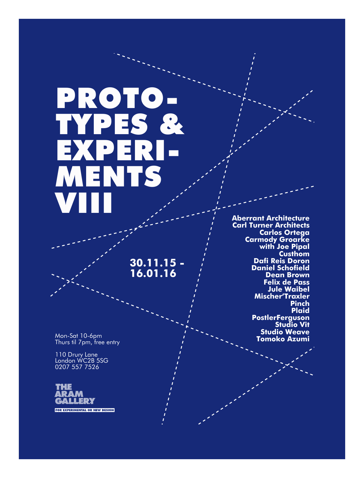# PROTO-TYPES & EXPERI-MENTS VIII

**30.11.15 - 16.01.16**

Mon-Sat 10-6pm Thurs til 7pm, free entry

110 Drury Lane London WC2B 5SG 0207 557 7526



**Aberrant Architecture Carl Turner Architects Carlos Ortega Carmody Groarke with Joe Pipal Custhom Dafi Reis Doron Daniel Schofield Dean Brown Felix de Pass Jule Waibel Mischer'Traxler Pinch Plaid PostlerFerguson Studio Vit Studio Weave Tomoko Azumi**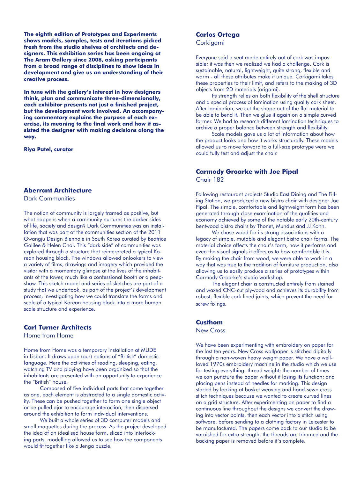**The eighth edition of Prototypes and Experiments shows models, samples, tests and iterations picked fresh from the studio shelves of architects and designers. This exhibition series has been ongoing at The Aram Gallery since 2008, asking participants from a broad range of disciplines to show ideas in development and give us an understanding of their creative process.**

**In tune with the gallery's interest in how designers think, plan and communicate three-dimensionally, each exhibitor presents not just a finished project, but the development work involved. An accompanying commentary explains the purpose of each exercise, its meaning to the final work and how it assisted the designer with making decisions along the way.**

**Riya Patel, curator**

#### **Aberrant Architecture**

Dark Communities

The notion of community is largely framed as positive, but what happens when a community nurtures the darker sides of life, society and design? Dark Communities was an installation that was part of the communities section of the 2011 Gwangju Design Biennale in South Korea curated by Beatrice Galilee & Helen Choi. This "dark side" of communities was explored through a structure that reinterpreted a typical Korean housing block. The windows allowed onlookers to view a variety of films, drawings and imagery which provided the visitor with a momentary glimpse at the lives of the inhabitants of the tower, much like a confessional booth or a peepshow. This sketch model and series of sketches are part of a study that we undertook, as part of the project's development process, investigating how we could translate the forms and scale of a typical Korean housing block into a more human scale structure and experience.

#### **Carl Turner Architects**

Home from Home

Home from Home was a temporary installation at MUDE in Lisbon. It draws upon (our) notions of "British" domestic language. Here the activities of reading, sleeping, eating, watching TV and playing have been organized so that the inhabitants are presented with an opportunity to experience the "British" house.

Composed of five individual parts that come together as one, each element is abstracted to a single domestic activity. These can be pushed together to form one single object or be pulled ajar to encourage interaction, then dispersed around the exhibition to form individual interventions.

We built a whole series of 3D computer models and small maquettes during the process. As the project developed the idea of an idealised house form, sliced into interlocking parts, modelling allowed us to see how the components would fit together like a Jenga puzzle.

# **Carlos Ortega**

Corkigami

Everyone said a seat made entirely out of cork was impossible; it was then we realized we had a challenge. Cork is sustainable, natural, lightweight, quite strong, flexible and warm - all these attributes make it unique. Corkigami takes these properties to their limit, and refers to the making of 3D objects from 2D materials (origami).

Its strength relies on both flexibility of the shell structure and a special process of lamination using quality cork sheet. After lamination, we cut the shape out of the flat material to be able to bend it. Then we glue it again on a simple curved former. We had to research different lamination techniques to archive a proper balance between strength and flexibility.

Scale models gave us a lot of information about how the product looks and how it works structurally. These models allowed us to move forward to a full-size prototype were we could fully test and adjust the chair.

### **Carmody Groarke with Joe Pipal**  Chair 182

Following restaurant projects Studio East Dining and The Filling Station, we produced a new bistro chair with designer Joe Pipal. The simple, comfortable and lightweight form has been generated through close examination of the qualities and economy achieved by some of the notable early 20th-century bentwood bistro chairs by Thonet, Mundus and JJ Kohn.

We chose wood for its strong associations with a legacy of simple, mutable and elegant bistro chair forms. The material choice affects the chair's form, how it performs and even the visual signals it offers as to how comfortable it is. By making the chair from wood, we were able to work in a way that was true to the tradition of furniture production, also allowing us to easily produce a series of prototypes within Carmody Groarke's studio workshop.

The elegant chair is constructed entirely from stained and waxed CNC-cut plywood and achieves its durability from robust, flexible cork-lined joints, which prevent the need for screw fixings.

#### **Custhom**

New Cross

We have been experimenting with embroidery on paper for the last ten years. New Cross wallpaper is stitched digitally through a non-woven heavy weight paper. We have a wellloved 1970s embroidery machine in the studio which we use for testing everything: thread weight; the number of times we can puncture the paper without it losing its function; and placing pens instead of needles for marking. This design started by looking at basket weaving and hand-sewn cross stitch techniques because we wanted to create curved lines on a grid structure. After experimenting on paper to find a continuous line throughout the designs we convert the drawing into vector points, then each vector into a stitch using software, before sending to a clothing factory in Leicester to be manufactured. The papers come back to our studio to be varnished for extra strength, the threads are trimmed and the backing paper is removed before it's complete.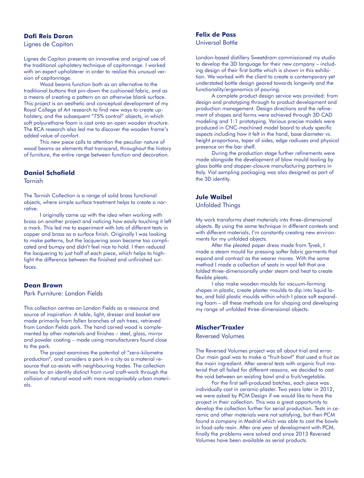#### **Dafi Reis Doron**

Lignes de Capiton

Lignes de Capiton presents an innovative and original use of the traditional upholstery technique of capitonnage. I worked with an expert upholsterer in order to realize this unusual version of capitonnage.

Wood beams function both as an alternative to the traditional buttons that pin-down the cushioned fabric, and as a means of creating a pattern on an otherwise blank surface. This project is an aesthetic and conceptual development of my Royal College of Art research to find new ways to create upholstery, and the subsequent "75% control" objects, in which soft polyurethane foam is cast onto an open wooden structure. The RCA research also led me to discover the wooden frame's added value of comfort.

This new piece calls to attention the peculiar nature of wood beams as elements that transcend, throughout the history of furniture, the entire range between function and decoration.

#### **Daniel Schofield**

#### **Tarnish**

The Tarnish Collection is a range of solid brass functional objects, where simple surface treatment helps to create a narrative.

I originally came up with the idea when working with brass on another project and noticing how easily touching it left a mark. This led me to experiment with lots of different tests in copper and brass as a surface finish. Originally I was looking to make patterns, but the lacquering soon became too complicated and bumpy and didn't feel nice to hold. I then reduced the lacquering to just half of each piece, which helps to highlight the difference between the finished and unfinished surfaces.

#### **Dean Brown**

Park Furniture: London Fields

This collection centres on London Fields as a resource and source of inspiration. A table, light, dresser and basket are made primarily from fallen branches of ash trees, retrieved from London Fields park. The hand carved wood is complemented by other materials and finishes – steel, glass, mirror and powder coating – made using manufacturers found close to the park.

The project examines the potential of "zero-kilometre production", and considers a park in a city as a material resource that co-exists with neighbouring trades. The collection strives for an identity distinct from rural craft-work through the collision of natural wood with more recognisably urban materials.

#### **Felix de Pass**  Universal Bottle

London-based distillery Sweetdram commissioned my studio to develop the 3D language for their new company – including design of their first bottle which is shown in this exhibition. We worked with the client to create a contemporary yet understated bottle design geared towards longevity and the functionality/ergonomics of pouring.

A complete product design service was provided: from design and prototyping through to product development and production management. Design directions and the refinement of shapes and forms were achieved through 3D CAD modeling and 1:1 prototyping. Various precise models were produced in CNC-machined model board to study specific aspects including how it felt in the hand, base diameter vs. height proportions, taper of sides, edge radiuses and physical presence on the bar shelf.

During the production stage further refinements were made alongside the development of blow mould tooling by glass bottle and stopper-closure manufacturing partners in Italy. Vial sampling packaging was also designed as part of the 3D identity.

# **Jule Waibel**

Unfolded Things

My work transforms sheet materials into three-dimensional objects. By using the same technique in different contexts and with different materials, I'm constantly creating new environments for my unfolded objects.

After the pleated paper dress made from Tyvek, I made a steam mould for pressing softer fabric garments that expand and contract as the wearer moves. With the same method I made a collection of seats in wool felt that are folded three-dimensionally under steam and heat to create flexible pleats.

I also make wooden moulds for vacuum-forming shapes in plastic, create plaster moulds to dip into liquid latex, and fold plastic moulds within which I place soft expanding foam – all these methods are for shaping and developing my range of unfolded three-dimensional objects.

#### **Mischer'Traxler**

Reversed Volumes

The Reversed Volumes project was all about trial and error. Our main goal was to make a "fruit-bowl" that used a fruit as the main ingredient. After several tests with organic fruit material that all failed for different reasons, we decided to cast the void between an existing bowl and a fruit/vegetable.

For the first self-produced batches, each piece was individually cast in ceramic-plaster. Two years later in 2012, we were asked by PCM Design if we would like to have the project in their collection. This was a great opportunity to develop the collection further for serial production. Tests in ceramic and other materials were not satisfying, but then PCM found a company in Madrid which was able to cast the bowls in food-safe resin. After one year of development with PCM, finally the problems were solved and since 2013 Reversed Volumes have been available as serial products.